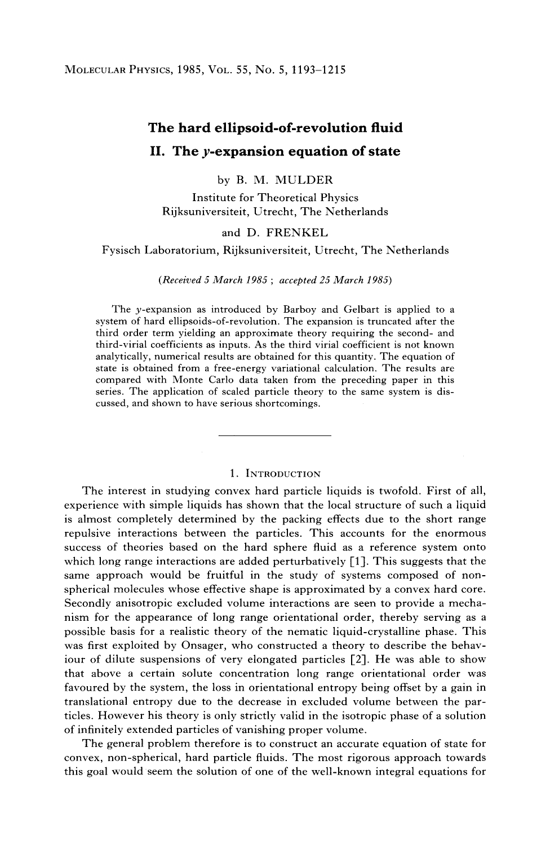# **The hard ellipsoid-of-revolution fluid II. The y-expansion equation of state**

# by B. M. MULDER

Institute for Theoretical Physics Rijksuniversiteit, Utrecht, The Netherlands

#### and D. FRENKEL

Fysisch Laboratorium, Rijksuniversiteit, Utrecht, The Netherlands

#### *(Received 5 March 1985 ; accepted 25 March 1985)*

The y-expansion as introduced by Barboy and Gelbart is applied to a system of hard ellipsoids-of-revolution. The expansion is truncated after the third order term yielding an approximate theory requiring the second- and third-virial coefficients as inputs. As the third virial coefficient is not known analytically, numerical results are obtained for this quantity. The equation of state is obtained from a free-energy variational calculation. The results are compared with Monte Carlo data taken from the preceding paper in this series. The application of scaled particle theory to the same system is discussed, and shown to have serious shortcomings.

#### 1. INTRODUCTION

The interest in studying convex hard particle liquids is twofold. First of all, experience with simple liquids has shown that the local structure of such a liquid is almost completely determined by the packing effects due to the short range repulsive interactions between the particles. This accounts for the enormous success of theories based on the hard sphere fluid as a reference system onto which long range interactions are added perturbatively  $[1]$ . This suggests that the same approach would be fruitful in the study of systems composed of nonspherical molecules whose effective shape is approximated by a convex hard core. Secondly anisotropic excluded volume interactions are seen to provide a mechanism for the appearance of long range orientational order, thereby serving as a possible basis for a realistic theory of the nematic liquid-crystalline phase. This was first exploited by Onsager, who constructed a theory to describe the behaviour of dilute suspensions of very elongated particles [2]. He was able to show that above a certain solute concentration long range orientational order was favoured by the system, the loss in orientational entropy being offset by a gain in translational entropy due to the decrease in excluded volume between the particles. However his theory is only strictly valid in the isotropic phase of a solution of infinitely extended particles of vanishing proper volume.

The general problem therefore is to construct an accurate equation of state for convex, non-spherical, hard particle fluids. The most rigorous approach towards this goal would seem the solution of one of the well-known integral equations for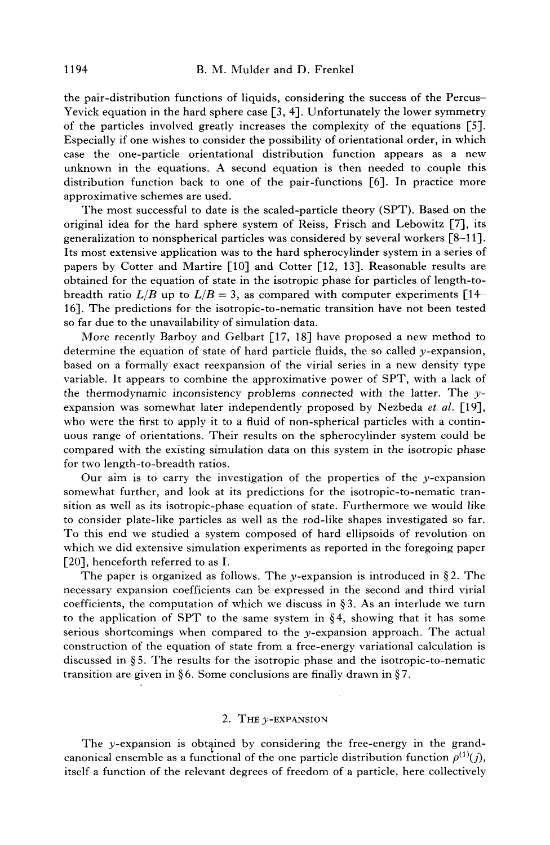the pair-distribution functions of liquids, considering the success of the Percus-Yevick equation in the hard sphere case [3, 4]. Unfortunately the lower symmetry of the particles involved greatly increases the complexity of the equations [5]. Especially if one wishes to consider the possibility of orientational order, in which case the one-particle orientational distribution function appears as a new unknown in the equations. A second equation is then needed to couple this distribution function back to one of the pair-functions  $[6]$ . In practice more approximative schemes are used.

The most successful to date is the scaled-particle theory (SPT). Based on the original idea for the hard sphere system of Reiss, Frisch and Lebowitz [7], its generalization to nonspherical particles was considered by several workers [8-11]. Its most extensive application was to the hard spherocylinder system in a series of papers by Cotter and Martire [10] and Cotter [12, 13]. Reasonable results are obtained for the equation of state in the isotropic phase for particles of length-tobreadth ratio  $L/B$  up to  $L/B = 3$ , as compared with computer experiments  $[14-$ 16]. The predictions for the isotropic-to-nematic transition have not been tested so far due to the unavailability of simulation data.

More recently Barboy and Gelbart [17, 18] have proposed a new method to determine the equation of state of hard particle fluids, the so called  $y$ -expansion, based on a formally exact reexpansion of the virial series in a new density type variable. It appears to combine the approximative power of SPT, with a lack of the thermodynamic inconsistency problems connected with the latter. The  $y$ expansion was somewhat later independently proposed by Nezbeda *et al.* [19], who were the first to apply it to a fluid of non-spherical particles with a continuous range of orientations. Their results on the spherocylinder system could be compared with the existing simulation data on this system in the isotropic phase for two length-to-breadth ratios.

Our aim is to carry the investigation of the properties of the  $y$ -expansion somewhat further, and look at its predictions for the isotropic-to-nematic transition as well as its isotropic-phase equation of state. Furthermore we would like to consider plate-like particles as well as the rod-like shapes investigated so far. To this end we studied a system composed of hard ellipsoids of revolution on which we did extensive simulation experiments as reported in the foregoing paper [20], henceforth referred to as I.

The paper is organized as follows. The y-expansion is introduced in §2. The necessary expansion coefficients can be expressed in the second and third virial coefficients, the computation of which we discuss in §3. As an interlude we turn to the application of SPT to the same system in  $\S 4$ , showing that it has some serious shortcomings when compared to the  $y$ -expansion approach. The actual construction of the equation of state from a free-energy variational calculation is discussed in  $\S 5$ . The results for the isotropic phase and the isotropic-to-nematic transition are given in §6. Some conclusions are finally drawn in §7.

#### 2. THE  $\nu$ -EXPANSION

The y-expansion is obtained by considering the free-energy in the grandcanonical ensemble as a functional of the one particle distribution function  $\rho^{(1)}(j)$ , itself a function of the relevant degrees of freedom of a particle, here collectively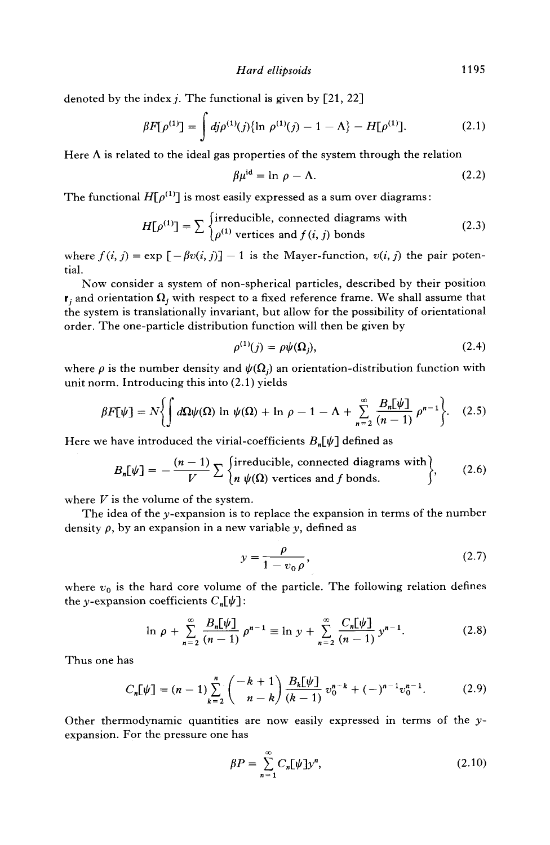denoted by the index *j*. The functional is given by  $[21, 22]$ 

$$
\beta F[\rho^{(1)}] = \int d\mathbf{j} \rho^{(1)}(\mathbf{j}) \{ \ln \rho^{(1)}(\mathbf{j}) - 1 - \Lambda \} - H[\rho^{(1)}]. \tag{2.1}
$$

Here  $\Lambda$  is related to the ideal gas properties of the system through the relation

$$
\beta \mu^{\text{id}} = \ln \rho - \Lambda. \tag{2.2}
$$

The functional  $H[\rho^{(1)}]$  is most easily expressed as a sum over diagrams:

$$
H[\rho^{(1)}] = \sum \begin{cases} \text{irreducible, connected diagrams with} \\ \rho^{(1)} \text{ vertices and } f(i, j) \text{ bonds} \end{cases}
$$
 (2.3)

where  $f(i, j) = \exp[-\beta v(i, j)] - 1$  is the Mayer-function,  $v(i, j)$  the pair potential.

Now consider a system of non-spherical particles, described by their position  ${\bf r}_i$  and orientation  ${\bf \Omega}_i$  with respect to a fixed reference frame. We shall assume that the system is translationally invariant, but allow for the possibility of orientational order. The one-particle distribution function will then be given by

$$
\rho^{(1)}(j) = \rho \psi(\Omega_j),\tag{2.4}
$$

where  $\rho$  is the number density and  $\psi(\Omega_i)$  an orientation-distribution function with unit norm. Introducing this into (2.1) yields

$$
\beta F[\psi] = N \left\{ \int d\Omega \psi(\Omega) \ln \psi(\Omega) + \ln \rho - 1 - \Lambda + \sum_{n=2}^{\infty} \frac{B_n[\psi]}{(n-1)} \rho^{n-1} \right\}.
$$
 (2.5)

Here we have introduced the virial-coefficients  $B_n[\psi]$  defined as

$$
B_n[\psi] = -\frac{(n-1)}{V} \sum \begin{cases} \text{irreducible, connected diagrams with} \\ n \psi(\Omega) \text{ vertices and } f \text{ bonds.} \end{cases}
$$
 (2.6)

where  $V$  is the volume of the system.

The idea of the y-expansion is to replace the expansion in terms of the number density  $\rho$ , by an expansion in a new variable y, defined as

$$
y = \frac{\rho}{1 - v_0 \rho},\tag{2.7}
$$

where  $v_0$  is the hard core volume of the particle. The following relation defines the y-expansion coefficients  $C_n[\psi]$ :

$$
\ln \rho + \sum_{n=2}^{\infty} \frac{B_n[\psi]}{(n-1)} \rho^{n-1} \equiv \ln y + \sum_{n=2}^{\infty} \frac{C_n[\psi]}{(n-1)} y^{n-1}.
$$
 (2.8)

Thus one has

$$
C_n[\psi] = (n-1)\sum_{k=2}^n \binom{-k+1}{n-k} \frac{B_k[\psi]}{(k-1)} v_0^{n-k} + (-)^{n-1} v_0^{n-1}.
$$
 (2.9)

Other thermodynamic quantities are now easily expressed in terms of the yexpansion. For the pressure one has

$$
\beta P = \sum_{n=1}^{\infty} C_n [\psi] y^n, \qquad (2.10)
$$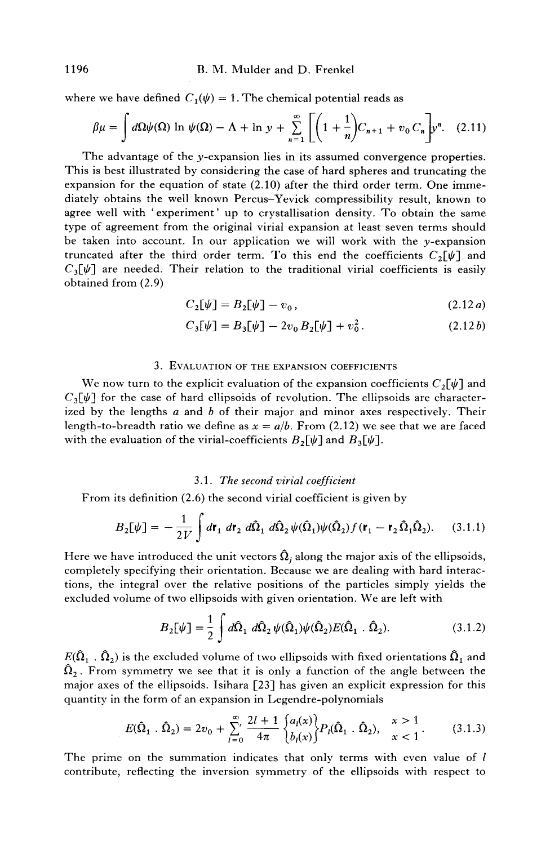where we have defined  $C_1(\psi) = 1$ . The chemical potential reads as

$$
\beta\mu = \int d\Omega \psi(\Omega) \ln \psi(\Omega) - \Lambda + \ln y + \sum_{n=1}^{\infty} \left[ \left( 1 + \frac{1}{n} \right) C_{n+1} + v_0 C_n \right] y^n. \tag{2.11}
$$

The advantage of the  $y$ -expansion lies in its assumed convergence properties. This is best illustrated by considering the case of hard spheres and truncating the expansion for the equation of state (2.10) after the third order term. One immediately obtains the well known Percus-Yevick compressibility result, known to agree well with 'experiment' up to crystallisation density. To obtain the same type of agreement from the original virial expansion at least seven terms should be taken into account. In our application we will work with the  $\nu$ -expansion truncated after the third order term. To this end the coefficients  $C_2[\psi]$  and  $C_3[\psi]$  are needed. Their relation to the traditional virial coefficients is easily obtained from (2.9)

$$
C_2[\psi] = B_2[\psi] - v_0, \qquad (2.12a)
$$

$$
C_3[\psi] = B_3[\psi] - 2v_0 B_2[\psi] + v_0^2. \qquad (2.12b)
$$

#### 3. EVALUATION OF THE EXPANSION COEFFICIENTS

We now turn to the explicit evaluation of the expansion coefficients  $C_2[\psi]$  and  $C_3[\psi]$  for the case of hard ellipsoids of revolution. The ellipsoids are characterized by the lengths  $a$  and  $b$  of their major and minor axes respectively. Their length-to-breadth ratio we define as  $x = a/b$ . From (2.12) we see that we are faced with the evaluation of the virial-coefficients  $B_2[\psi]$  and  $B_3[\psi]$ .

#### *3.1. The second virial coefficient*

From its definition (2.6) the second virial coefficient is given by

$$
B_2[\psi] = -\frac{1}{2V} \int d\mathbf{r}_1 d\mathbf{r}_2 d\hat{\Omega}_1 d\hat{\Omega}_2 \psi(\hat{\Omega}_1)\psi(\hat{\Omega}_2) f(\mathbf{r}_1 - \mathbf{r}_2 \hat{\Omega}_1 \hat{\Omega}_2).
$$
 (3.1.1)

Here we have introduced the unit vectors  $\hat{\Omega}_i$  along the major axis of the ellipsoids, completely specifying their orientation. Because we are dealing with hard interactions, the integral over the relative positions of the particles simply yields the excluded volume of two ellipsoids with given orientation. We are left with

$$
B_2[\psi] = \frac{1}{2} \int d\hat{\Omega}_1 d\hat{\Omega}_2 \psi(\hat{\Omega}_1)\psi(\hat{\Omega}_2)E(\hat{\Omega}_1 \cdot \hat{\Omega}_2).
$$
 (3.1.2)

 $E(\widehat{\Omega}_1$  .  $\widehat{\Omega}_2)$  is the excluded volume of two ellipsoids with fixed orientations  $\widehat{\Omega}_1$  and  $\hat{\Omega}_2$ . From symmetry we see that it is only a function of the angle between the major axes of the ellipsoids. Isihara  $[23]$  has given an explicit expression for this quantity in the form of an expansion in Legendre-polynomials

$$
E(\hat{\Omega}_1 \cdot \hat{\Omega}_2) = 2v_0 + \sum_{l=0}^{\infty} \frac{2l+1}{4\pi} \begin{Bmatrix} a_l(x) \\ b_l(x) \end{Bmatrix} P_l(\hat{\Omega}_1 \cdot \hat{\Omega}_2), \quad \begin{array}{l} x > 1 \\ x < 1 \end{array} \tag{3.1.3}
$$

The prime on the summation indicates that only terms with even value of  $l$ contribute, reflecting the inversion symmetry of the ellipsoids with respect to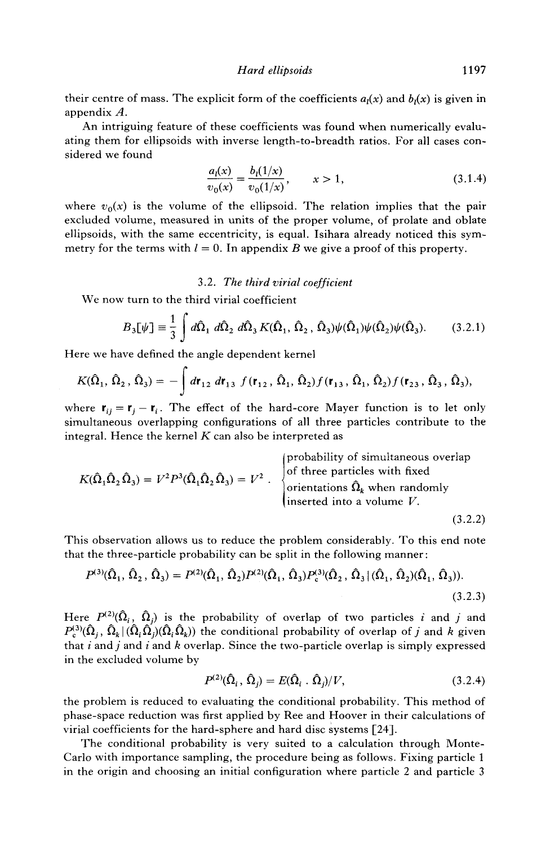their centre of mass. The explicit form of the coefficients  $a<sub>1</sub>(x)$  and  $b<sub>1</sub>(x)$  is given in appendix A.

An intriguing feature of these coefficients was found when numerically evaluating them for ellipsoids with inverse length-to-breadth ratios. For all cases considered we found

$$
\frac{a_l(x)}{v_0(x)} = \frac{b_l(1/x)}{v_0(1/x)}, \qquad x > 1,
$$
\n(3.1.4)

where  $v_0(x)$  is the volume of the ellipsoid. The relation implies that the pair excluded volume, measured in units of the proper volume, of prolate and oblate ellipsoids, with the same eccentricity, is equal. Isihara already noticed this symmetry for the terms with  $l = 0$ . In appendix B we give a proof of this property.

#### *3.2. The third virial coefficient*

We now turn to the third virial coefficient

$$
B_3[\psi] \equiv \frac{1}{3} \int d\hat{\Omega}_1 d\hat{\Omega}_2 d\hat{\Omega}_3 K(\hat{\Omega}_1, \hat{\Omega}_2, \hat{\Omega}_3) \psi(\hat{\Omega}_1) \psi(\hat{\Omega}_2) \psi(\hat{\Omega}_3).
$$
 (3.2.1)

Here we have defined the angle dependent kernel

$$
K(\hat{\Omega}_1, \hat{\Omega}_2, \hat{\Omega}_3) = -\int d\mathbf{r}_{12} d\mathbf{r}_{13} f(\mathbf{r}_{12}, \hat{\Omega}_1, \hat{\Omega}_2) f(\mathbf{r}_{13}, \hat{\Omega}_1, \hat{\Omega}_2) f(\mathbf{r}_{23}, \hat{\Omega}_3, \hat{\Omega}_3),
$$

where  $r_{ij} = r_j - r_i$ . The effect of the hard-core Mayer function is to let only simultaneous overlapping configurations of all three particles contribute to the integral. Hence the kernel  $K$  can also be interpreted as

$$
K(\hat{\Omega}_1 \hat{\Omega}_2 \hat{\Omega}_3) = V^2 P^3(\hat{\Omega}_1 \hat{\Omega}_2 \hat{\Omega}_3) = V^2
$$
  
\n
$$
\left\{\begin{array}{l}\n\text{probability of simultaneous overlap} \\
\text{of three particles with fixed} \\
\text{orientations } \hat{\Omega}_k \text{ when randomly} \\
\text{inserted into a volume } V.\n\end{array}\right.
$$
\n(3.2.2)

This observation allows us to reduce the problem considerably. To this end note that the three-particle probability can be split in the following manner:

$$
P^{(3)}(\hat{\Omega}_1, \hat{\Omega}_2, \hat{\Omega}_3) = P^{(2)}(\hat{\Omega}_1, \hat{\Omega}_2)P^{(2)}(\hat{\Omega}_1, \hat{\Omega}_3)P_c^{(3)}(\hat{\Omega}_2, \hat{\Omega}_3 | (\hat{\Omega}_1, \hat{\Omega}_2)(\hat{\Omega}_1, \hat{\Omega}_3)).
$$
\n(3.2.3)

Here  $P^{(2)}(\hat{\Omega}_i, \hat{\Omega}_i)$  is the probability of overlap of two particles i and j and  $P_c^{(3)}(\hat{\Omega}_i, \hat{\Omega}_k | (\hat{\Omega}_i \hat{\Omega}_i)(\hat{\Omega}_i \hat{\Omega}_k))$  the conditional probability of overlap of j and k given that i and j and i and k overlap. Since the two-particle overlap is simply expressed in the excluded volume by

$$
P^{(2)}(\hat{\Omega}_i, \hat{\Omega}_i) = E(\hat{\Omega}_i \cdot \hat{\Omega}_i) / V, \qquad (3.2.4)
$$

the problem is reduced to evaluating the conditional probability. This method of phase-space reduction was first applied by Ree and Hoover in their calculations of virial coefficients for the hard-sphere and hard disc systems [24].

The conditional probability is very suited to a calculation through Monte-Carlo with importance sampling, the procedure being as follows. Fixing particle 1 in the origin and choosing an initial configuration where particle 2 and particle 3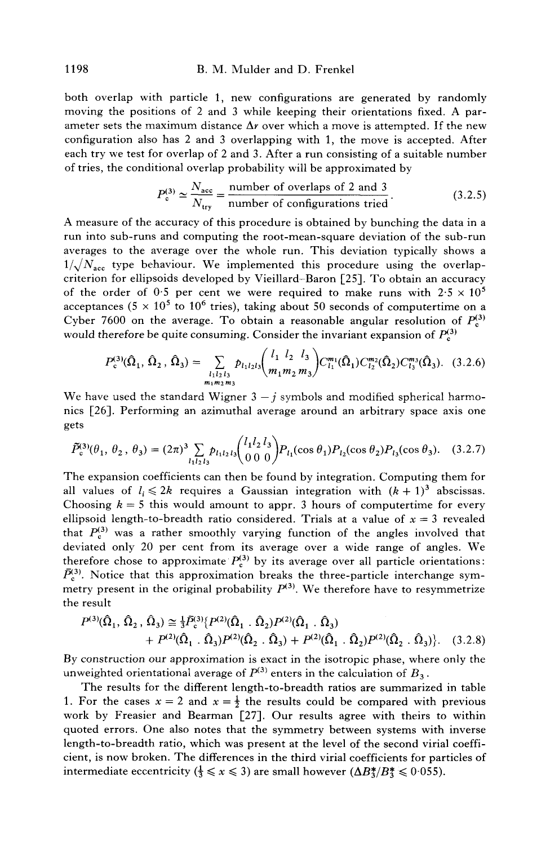#### 1198 B.M. Mulder and D. Frenkel

both overlap with particle 1, new configurations are generated by randomly moving the positions of 2 and 3 while keeping their orientations fixed. A parameter sets the maximum distance  $\Delta r$  over which a move is attempted. If the new configuration also has 2 and 3 overlapping with 1, the move is accepted. After each try we test for overlap of 2 and 3. After a run consisting of a suitable number of tries, the conditional overlap probability will be approximated by

$$
P_c^{(3)} \simeq \frac{N_{\text{acc}}}{N_{\text{try}}} = \frac{\text{number of overlaps of 2 and 3}}{\text{number of configurations tried}}.
$$
 (3.2.5)

A measure of the accuracy of this procedure is obtained by bunching the data in a run into sub-runs and computing the root-mean-square deviation of the sub-run averages to the average over the whole run. This deviation typically shows a  $1/\sqrt{N_{\text{acc}}}$  type behaviour. We implemented this procedure using the overlapcriterion for ellipsoids developed by Vieillard-Baron [25]. To obtain an accuracy of the order of 0.5 per cent we were required to make runs with  $2.5 \times 10^5$ acceptances (5  $\times$  10<sup>5</sup> to 10<sup>6</sup> tries), taking about 50 seconds of computertime on a Cyber 7600 on the average. To obtain a reasonable angular resolution of  $P_c^{(3)}$ would therefore be quite consuming. Consider the invariant expansion of  $P_c^{(3)}$ 

$$
P_{\rm c}^{(3)}(\hat{\Omega}_1, \hat{\Omega}_2, \hat{\Omega}_3) = \sum_{\substack{l_1 l_2 l_3 \ m_1 m_2 m_3}} p_{l_1 l_2 l_3} {l_1 l_2 l_3 \choose m_1 m_2 m_3} C_{l_1}^{m_1}(\hat{\Omega}_1) C_{l_2}^{m_2}(\hat{\Omega}_2) C_{l_3}^{m_3}(\hat{\Omega}_3). \quad (3.2.6)
$$

We have used the standard Wigner  $3 - i$  symbols and modified spherical harmonics [26]. Performing an azimuthal average around an arbitrary space axis one gets

$$
\tilde{P}_c^{(3)}(\theta_1, \theta_2, \theta_3) = (2\pi)^3 \sum_{l_1 l_2 l_3} p_{l_1 l_2 l_3} {l_1 l_2 l_3 \choose 0 \ 0 \ 0} P_{l_1}(\cos \theta_1) P_{l_2}(\cos \theta_2) P_{l_3}(\cos \theta_3). \quad (3.2.7)
$$

The expansion coefficients can then be found by integration. Computing them for all values of  $l_i \leq 2k$  requires a Gaussian integration with  $(k + 1)^3$  abscissas. Choosing  $k = 5$  this would amount to appr. 3 hours of computertime for every ellipsoid length-to-breadth ratio considered. Trials at a value of  $x = 3$  revealed that  $P_c^{(3)}$  was a rather smoothly varying function of the angles involved that deviated only 20 per cent from its average over a wide range of angles. We therefore chose to approximate  $P_c^{(3)}$  by its average over all particle orientations:  $\bar{P}_{c}^{(3)}$ . Notice that this approximation breaks the three-particle interchange symmetry present in the original probability  $P^{(3)}$ . We therefore have to resymmetrize the result

$$
P^{(3)}(\hat{\Omega}_1, \hat{\Omega}_2, \hat{\Omega}_3) \approx \frac{1}{3} \bar{P}_c^{(3)} \{ P^{(2)}(\hat{\Omega}_1, \hat{\Omega}_2) P^{(2)}(\hat{\Omega}_1, \hat{\Omega}_3) + P^{(2)}(\hat{\Omega}_1, \hat{\Omega}_3) P^{(2)}(\hat{\Omega}_2, \hat{\Omega}_3) + P^{(2)}(\hat{\Omega}_1, \hat{\Omega}_2) P^{(2)}(\hat{\Omega}_2, \hat{\Omega}_3) \}.
$$
 (3.2.8)

By construction our approximation is exact in the isotropic phase, where only the unweighted orientational average of  $P^{(3)}$  enters in the calculation of  $B_3$ .

The results for the different length-to-breadth ratios are summarized in table 1. For the cases  $x = 2$  and  $x = \frac{1}{2}$  the results could be compared with previous work by Freasier and Bearman [27]. Our results agree with theirs to within quoted errors. One also notes that the symmetry between systems with inverse length-to-breadth ratio, which was present at the level of the second virial coefficient, is now broken. The differences in the third virial coefficients for particles of intermediate eccentricity  $(\frac{1}{3} \le x \le 3)$  are small however  $(\Delta B_3^*/B_3^* \le 0.055)$ .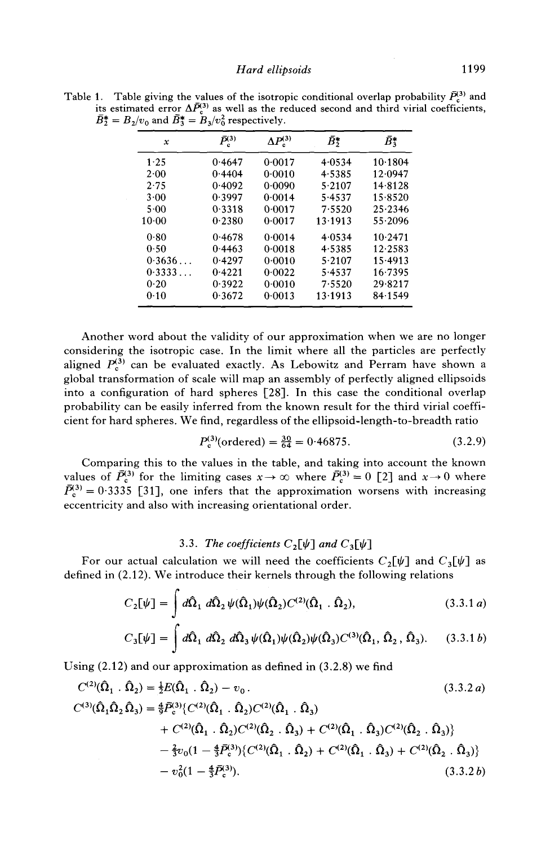Table 1. Table giving the values of the isotropic conditional overlap probability  $P_c^3$  and its estimated error  $\Delta P_c^{(3)}$  as well as the reduced second and third virial coefficients,  $B_2^* = B_2/v_0$  and  $B_3^* = B_3/v_0^2$  respectively.

| x          | $\bar{P}^{(3)}_{\rm c}$ | $\Delta P_c^{(3)}$ | ₽₹      | $\bar{B}_3^*$ |
|------------|-------------------------|--------------------|---------|---------------|
| 1.25       | 0.4647                  | 0.0017             | 4.0534  | 10.1804       |
| 2.00       | 0.4404                  | 0.0010             | 4.5385  | 12.0947       |
| 2.75       | 0.4092                  | 0.0090             | 5.2107  | 14.8128       |
| 3.00       | 0.3997                  | 0.0014             | 5.4537  | 15.8520       |
| 5.00       | 0.3318                  | 0.0017             | 7.5520  | 25.2346       |
| $10-00$    | 0.2380                  | 0.0017             | 13.1913 | 55.2096       |
| 0.80       | 0.4678                  | 0.0014             | 4.0534  | 10.2471       |
| 0.50       | 0.4463                  | 0.0018             | 4.5385  | 12.2583       |
| $0.3636$ . | 0.4297                  | 0.0010             | 5.2107  | 15.4913       |
| 0.3333     | 0.4221                  | 0.0022             | 5.4537  | 16.7395       |
| 0.20       | 0.3922                  | 0.0010             | 7.5520  | 29.8217       |
| 0.10       | 0.3672                  | 0.0013             | 13.1913 | 84.1549       |

Another word about the validity of our approximation when we are no longer considering the isotropic case. In the limit where all the particles are perfectly aligned  $P_c^{(3)}$  can be evaluated exactly. As Lebowitz and Perram have shown a global transformation of scale will map an assembly of perfectly aligned ellipsoids into a configuration of hard spheres [28]. In this case the conditional overlap probability can be easily inferred from the known result for the third virial coefficient for hard spheres. We find, regardless of the ellipsoid-length-to-breadth ratio

$$
P_c^{(3)}(\text{ordered}) = \frac{30}{64} = 0.46875. \tag{3.2.9}
$$

Comparing this to the values in the table, and taking into account the known values of  $P_c^{(3)}$  for the limiting cases  $x\to\infty$  where  $P_c^{(3)}=0$  [2] and  $x\to 0$  where  $P_c^{(3)} = 0.3335$  [31], one infers that the approximation worsens with increasing eccentricity and also with increasing orientational order.

# 3.3. *The coefficients*  $C_2[\psi]$  and  $C_3[\psi]$

For our actual calculation we will need the coefficients  $C_2[\psi]$  and  $C_3[\psi]$  as defined in (2.12). We introduce their kernels through the following relations

$$
C_2[\psi] = \int d\hat{\Omega}_1 d\hat{\Omega}_2 \psi(\hat{\Omega}_1)\psi(\hat{\Omega}_2) C^{(2)}(\hat{\Omega}_1 \cdot \hat{\Omega}_2), \qquad (3.3.1 a)
$$

$$
C_3[\psi] = \int d\hat{\Omega}_1 d\hat{\Omega}_2 d\hat{\Omega}_3 \psi(\hat{\Omega}_1)\psi(\hat{\Omega}_2)\psi(\hat{\Omega}_3)C^{(3)}(\hat{\Omega}_1, \hat{\Omega}_2, \hat{\Omega}_3). \quad (3.3.1 b)
$$

Using (2.12) and our approximation as defined in (3.2.8) we find

$$
C^{(2)}(\hat{\Omega}_{1} \cdot \hat{\Omega}_{2}) = \frac{1}{2}E(\hat{\Omega}_{1} \cdot \hat{\Omega}_{2}) - v_{0}. \qquad (3.3.2 a)
$$
  
\n
$$
C^{(3)}(\hat{\Omega}_{1}\hat{\Omega}_{2}\hat{\Omega}_{3}) = \frac{4}{9}\bar{P}_{c}^{(3)}\left\{C^{(2)}(\hat{\Omega}_{1} \cdot \hat{\Omega}_{2})C^{(2)}(\hat{\Omega}_{1} \cdot \hat{\Omega}_{3}) + C^{(2)}(\hat{\Omega}_{1} \cdot \hat{\Omega}_{2})C^{(2)}(\hat{\Omega}_{2} \cdot \hat{\Omega}_{3}) + C^{(2)}(\hat{\Omega}_{1} \cdot \hat{\Omega}_{2})C^{(2)}(\hat{\Omega}_{2} \cdot \hat{\Omega}_{3})\right\}
$$
  
\n
$$
- \frac{2}{3}v_{0}(1 - \frac{4}{3}\bar{P}_{c}^{(3)})\left\{C^{(2)}(\hat{\Omega}_{1} \cdot \hat{\Omega}_{2}) + C^{(2)}(\hat{\Omega}_{1} \cdot \hat{\Omega}_{3}) + C^{(2)}(\hat{\Omega}_{2} \cdot \hat{\Omega}_{3})\right\}
$$
  
\n
$$
- v_{0}^{2}(1 - \frac{4}{3}\bar{P}_{c}^{(3)}). \qquad (3.3.2 b)
$$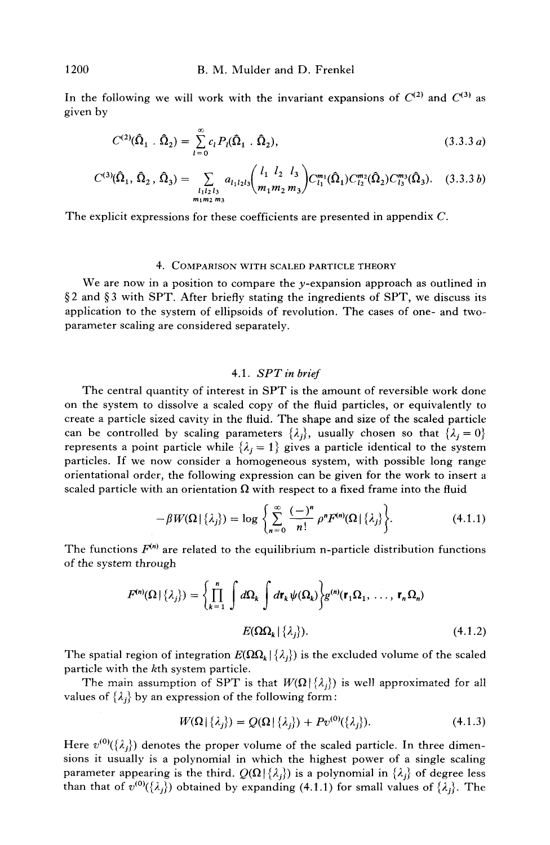In the following we will work with the invariant expansions of  $C^{(2)}$  and  $C^{(3)}$  as given by

$$
C^{(2)}(\hat{\Omega}_1 \cdot \hat{\Omega}_2) = \sum_{l=0}^{\infty} c_l P_l(\hat{\Omega}_1 \cdot \hat{\Omega}_2),
$$
\n(3.3.3*a*)

$$
C^{(3)}(\hat{\Omega}_1, \hat{\Omega}_2, \hat{\Omega}_3) = \sum_{\substack{l_1 l_2 l_3 \ m_1 m_2 m_3}} a_{l_1 l_2 l_3} {l_1 l_2 l_3 \choose m_1 m_2 m_3} C^{m_1}_{l_1}(\hat{\Omega}_1) C^{m_2}_{l_2}(\hat{\Omega}_2) C^{m_3}_{l_3}(\hat{\Omega}_3). \quad (3.3.3 b)
$$

The explicit expressions for these coefficients are presented in appendix C.

#### *4. COMPARISON* WITH SCALED PARTICLE THEORY

We are now in a position to compare the  $y$ -expansion approach as outlined in  $\S 2$  and  $\S 3$  with SPT. After briefly stating the ingredients of SPT, we discuss its application to the system of ellipsoids of revolution. The cases of one- and twoparameter scaling are considered separately.

# *4.1. SPT in brief*

The central quantity of interest in SPT is the amount of reversible work done on the system to dissolve a scaled copy of the fluid particles, or equivalently to create a particle sized cavity in the fluid. The shape and size of the scaled particle can be controlled by scaling parameters  $\{\lambda_i\}$ , usually chosen so that  $\{\lambda_i = 0\}$ represents a point particle while  $\{\lambda_j = 1\}$  gives a particle identical to the system particles. If we now consider a homogeneous system, with possible long range orientational order, the following expression can be given for the work to insert a scaled particle with an orientation  $\Omega$  with respect to a fixed frame into the fluid

$$
-\beta W(\Omega | \{\lambda_j\}) = \log \left\{ \sum_{n=0}^{\infty} \frac{(-)^n}{n!} \rho^n F^{(n)}(\Omega | \{\lambda_j\} \right\}.
$$
 (4.1.1)

The functions  $F^{(n)}$  are related to the equilibrium n-particle distribution functions of the system through

$$
F^{(n)}(\Omega | \{\lambda_j\}) = \left\{ \prod_{k=1}^n \int d\Omega_k \int d\mathbf{r}_k \psi(\Omega_k) \right\} g^{(n)}(\mathbf{r}_1 \Omega_1, \dots, \mathbf{r}_n \Omega_n)
$$
  

$$
E(\Omega \Omega_k | \{\lambda_j\}). \tag{4.1.2}
$$

The spatial region of integration  $E(\Omega \Omega_k | \{\lambda_i\})$  is the excluded volume of the scaled particle with the kth system particle.

The main assumption of SPT is that  $W(\Omega | {\lambda_i})$  is well approximated for all values of  $\{\lambda_i\}$  by an expression of the following form:

$$
W(\Omega | \{\lambda_i\}) = Q(\Omega | \{\lambda_i\}) + P v^{(0)}(\{\lambda_i\}). \tag{4.1.3}
$$

Here  $v^{(0)}(\{\lambda_i\})$  denotes the proper volume of the scaled particle. In three dimensions it usually is a polynomial in which the highest power of a single scaling parameter appearing is the third.  $Q(\Omega | {\lambda_i})$  is a polynomial in  $\{\lambda_i\}$  of degree less than that of  $v^{(0)}(\{\lambda_j\})$  obtained by expanding (4.1.1) for small values of  $\{\lambda_j\}$ . The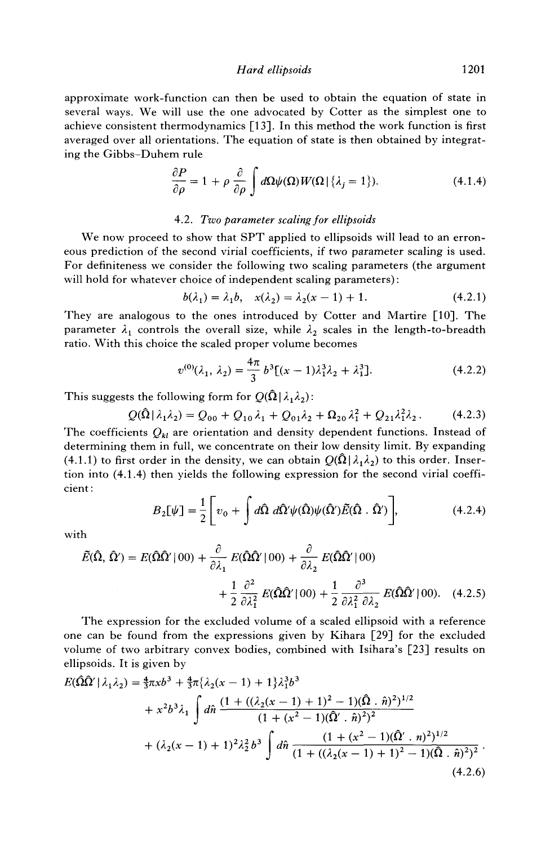*Hard ellipsoids* 1201

approximate work-function can then be used to obtain the equation of state in several ways. We will use the one advocated by Cotter as the simplest one to achieve consistent thermodynamics [13]. In this method the work function is first averaged over all orientations. The equation of state is then obtained by integrating the Gibbs-Duhem rule

$$
\frac{\partial P}{\partial \rho} = 1 + \rho \frac{\partial}{\partial \rho} \int d\Omega \psi(\Omega) W(\Omega | \{\lambda_j = 1\}). \tag{4.1.4}
$$

#### 4.2. *Two parameter scaling for ellipsoids*

We now proceed to show that SPT applied to ellipsoids will lead to an erroneous prediction of the second virial coefficients, if two parameter scaling is used. For definiteness we consider the following two scaling parameters (the argument will hold for whatever choice of independent scaling parameters) :

$$
b(\lambda_1) = \lambda_1 b, \quad x(\lambda_2) = \lambda_2(x - 1) + 1. \tag{4.2.1}
$$

They are analogous to the ones introduced by Cotter and Martire [10]. The parameter  $\lambda_1$  controls the overall size, while  $\lambda_2$  scales in the length-to-breadth ratio. With this choice the scaled proper volume becomes

$$
v^{(0)}(\lambda_1, \lambda_2) = \frac{4\pi}{3} b^3 [(x-1)\lambda_1^3 \lambda_2 + \lambda_1^3].
$$
 (4.2.2)

This suggests the following form for  $Q(\hat{Q} | \lambda_1 \lambda_2)$ :

$$
Q(\hat{\Omega}|\lambda_1\lambda_2) = Q_{00} + Q_{10}\lambda_1 + Q_{01}\lambda_2 + \Omega_{20}\lambda_1^2 + Q_{21}\lambda_1^2\lambda_2. \tag{4.2.3}
$$

The coefficients  $Q_{kl}$  are orientation and density dependent functions. Instead of determining them in full, we concentrate on their low density limit. By expanding (4.1.1) to first order in the density, we can obtain  $Q(\hat{\Omega}|\lambda_1\lambda_2)$  to this order. Insertion into (4.1.4) then yields the following expression for the second virial coefficient :

$$
B_2[\psi] = \frac{1}{2} \left[ v_0 + \int d\hat{\Omega} \ d\hat{\Omega}' \psi(\hat{\Omega}) \psi(\hat{\Omega}') \tilde{E}(\hat{\Omega} \cdot \hat{\Omega}') \right],\tag{4.2.4}
$$

with

$$
\tilde{E}(\hat{\Omega}, \hat{\Omega}') = E(\hat{\Omega}\hat{\Omega}' | 00) + \frac{\partial}{\partial \lambda_1} E(\hat{\Omega}\hat{\Omega}' | 00) + \frac{\partial}{\partial \lambda_2} E(\hat{\Omega}\hat{\Omega}' | 00) \n+ \frac{1}{2} \frac{\partial^2}{\partial \lambda_1^2} E(\hat{\Omega}\hat{\Omega}' | 00) + \frac{1}{2} \frac{\partial^3}{\partial \lambda_1^2 \partial \lambda_2} E(\hat{\Omega}\hat{\Omega}' | 00). \quad (4.2.5)
$$

The expression for the excluded volume of a scaled ellipsoid with a reference one can be found from the expressions given by Kihara [29] for the excluded volume of two arbitrary convex bodies, combined with Isihara's [23] results on ellipsoids. It is given by

$$
E(\hat{\Omega}\hat{\Omega}'|\lambda_1\lambda_2) = \frac{4}{3}\pi x b^3 + \frac{4}{3}\pi \{\lambda_2(x-1) + 1\} \lambda_1^3 b^3
$$
  
+  $x^2 b^3 \lambda_1 \int d\hat{n} \frac{(1 + ((\lambda_2(x-1) + 1)^2 - 1)(\hat{\Omega} \cdot \hat{n})^2)^{1/2}}{(1 + (x^2 - 1)(\hat{\Omega}' \cdot \hat{n})^2)^2}$   
+  $(\lambda_2(x-1) + 1)^2 \lambda_2^2 b^3 \int d\hat{n} \frac{(1 + (x^2 - 1)(\hat{\Omega}' \cdot n)^2)^{1/2}}{(1 + ((\lambda_2(x-1) + 1)^2 - 1)(\hat{\Omega} \cdot \hat{n})^2)^2}$  (4.2.6)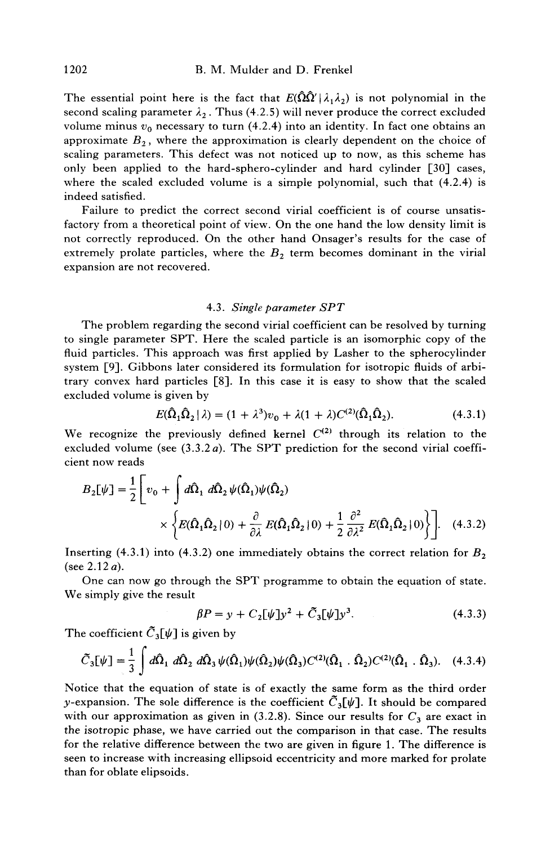The essential point here is the fact that  $E(\hat{\Omega}\hat{\Omega}^{\prime}|\lambda_{1}\lambda_{2})$  is not polynomial in the second scaling parameter  $\lambda_2$ . Thus (4.2.5) will never produce the correct excluded volume minus  $v_0$  necessary to turn (4.2.4) into an identity. In fact one obtains an approximate  $B_2$ , where the approximation is clearly dependent on the choice of scaling parameters. This defect was not noticed up to now, as this scheme has only been applied to the hard-sphero-cylinder and hard cylinder [30] cases, where the scaled excluded volume is a simple polynomial, such that (4.2.4) is indeed satisfied.

Failure to predict the correct second virial coefficient is of course unsatisfactory from a theoretical point of view. On the one hand the low density limit is not correctly reproduced. On the other hand Onsager's results for the case of extremely prolate particles, where the  $B<sub>2</sub>$  term becomes dominant in the virial expansion are not recovered.

#### 4.3. *Single parameter SPT*

The problem regarding the second virial coefficient can be resolved by turning to single parameter SPT. Here the scaled particle is an isomorphic copy of the fluid particles. This approach was first applied by Lasher to the spherocylinder system [9]. Gibbons later considered its formulation for isotropic fluids of arbitrary convex hard particles [8]. In this case it is easy to show that the scaled excluded volume is given by

$$
E(\hat{\Omega}_1 \hat{\Omega}_2 | \lambda) = (1 + \lambda^3)v_0 + \lambda(1 + \lambda)C^{(2)}(\hat{\Omega}_1 \hat{\Omega}_2).
$$
 (4.3.1)

We recognize the previously defined kernel  $C^{(2)}$  through its relation to the excluded volume (see  $(3.3.2a)$ . The SPT prediction for the second virial coefficient now reads

$$
B_2[\psi] = \frac{1}{2} \left[ v_0 + \int d\hat{\Omega}_1 \ d\hat{\Omega}_2 \ \psi(\hat{\Omega}_1) \psi(\hat{\Omega}_2) \right]
$$

$$
\times \left\{ E(\hat{\Omega}_1 \hat{\Omega}_2 | 0) + \frac{\partial}{\partial \lambda} E(\hat{\Omega}_1 \hat{\Omega}_2 | 0) + \frac{1}{2} \frac{\partial^2}{\partial \lambda^2} E(\hat{\Omega}_1 \hat{\Omega}_2 | 0) \right\} \right]. \quad (4.3.2)
$$

Inserting (4.3.1) into (4.3.2) one immediately obtains the correct relation for  $B_2$ (see  $2.12 a$ ).

One can now go through the SPT programme to obtain the equation of state. We simply give the result

$$
\beta P = y + C_2 [\psi] y^2 + \tilde{C}_3 [\psi] y^3. \tag{4.3.3}
$$

The coefficient  $\tilde{C}_3[\psi]$  is given by

$$
\tilde{C}_3[\psi] = \frac{1}{3} \int d\hat{\Omega}_1 d\hat{\Omega}_2 d\hat{\Omega}_3 \psi(\hat{\Omega}_1)\psi(\hat{\Omega}_2)\psi(\hat{\Omega}_3)C^{(2)}(\hat{\Omega}_1 \cdot \hat{\Omega}_2)C^{(2)}(\hat{\Omega}_1 \cdot \hat{\Omega}_3). \quad (4.3.4)
$$

Notice that the equation of state is of exactly the same form as the third order y-expansion. The sole difference is the coefficient  $\tilde{C}_3[\psi]$ . It should be compared with our approximation as given in (3.2.8). Since our results for  $C_3$  are exact in the isotropic phase, we have carried out the comparison in that case. The results for the relative difference between the two are given in figure 1. The difference is seen to increase with increasing ellipsoid eccentricity and more marked for prolate than for oblate elipsoids.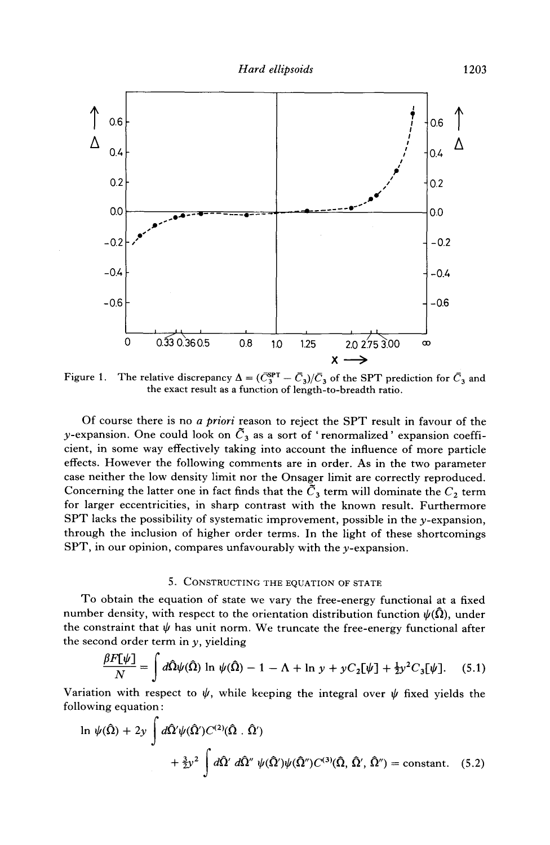

Figure 1. The relative discrepancy  $\Delta = (\bar{C}_3^{\text{SPT}} - \bar{C}_3)/\bar{C}_3$  of the SPT prediction for  $\bar{C}_3$  and the exact result as a function of length-to-breadth ratio.

Of course there is no *a priori* reason to reject the SPT result in favour of the y-expansion. One could look on  $\tilde{C}_3$  as a sort of 'renormalized' expansion coefficient, in some way effectively taking into account the influence of more particle effects. However the following comments are in order. As in the two parameter case neither the low density limit nor the Onsager limit are correctly reproduced. Concerning the latter one in fact finds that the  $\tilde{C}_3$  term will dominate the  $C_2$  term for larger eccentricities, in sharp contrast with the known result. Furthermore  $SPT$  lacks the possibility of systematic improvement, possible in the y-expansion, through the inclusion of higher order terms. In the light of these shortcomings SPT, in our opinion, compares unfavourably with the y-expansion.

## 5. CONSTRUCTING THE EQUATION OF STATE

To obtain the equation of state we vary the free-energy functional at a fixed number density, with respect to the orientation distribution function  $\psi(\bar{\Omega})$ , under the constraint that  $\psi$  has unit norm. We truncate the free-energy functional after the second order term in  $y$ , yielding

$$
\frac{\beta F[\psi]}{N} = \int d\hat{\Omega}\psi(\hat{\Omega}) \ln \psi(\hat{\Omega}) - 1 - \Lambda + \ln y + yC_2[\psi] + \frac{1}{2}y^2C_3[\psi]. \quad (5.1)
$$

Variation with respect to  $\psi$ , while keeping the integral over  $\psi$  fixed yields the following equation :

$$
\ln \psi(\hat{\Omega}) + 2y \int d\hat{\Omega}' \psi(\hat{\Omega}') C^{(2)}(\hat{\Omega} \cdot \hat{\Omega}')
$$
  
+  $\frac{3}{2}y^2 \int d\hat{\Omega}' d\hat{\Omega}'' \psi(\hat{\Omega}') \psi(\hat{\Omega}'') C^{(3)}(\hat{\Omega}, \hat{\Omega}', \hat{\Omega}'') = \text{constant.}$  (5.2)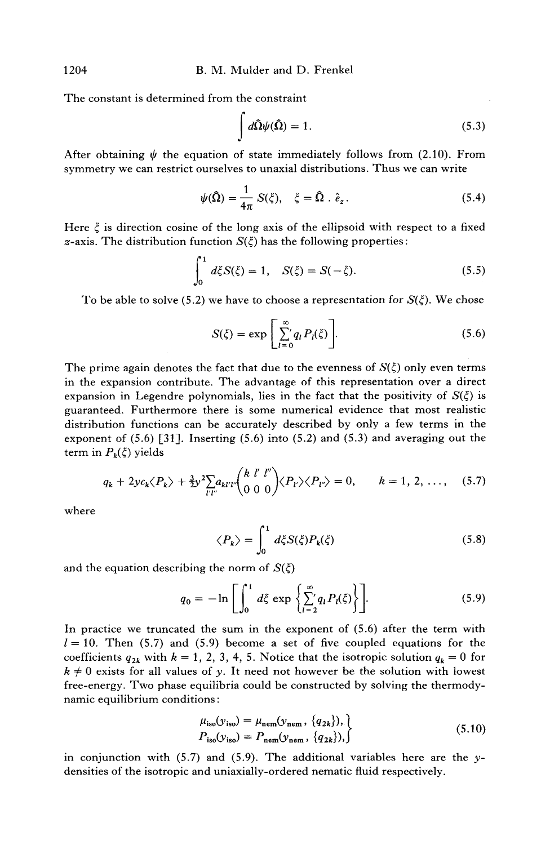The constant is determined from the constraint

$$
\int d\hat{\Omega}\psi(\hat{\Omega}) = 1. \tag{5.3}
$$

After obtaining  $\psi$  the equation of state immediately follows from (2.10). From symmetry we can restrict ourselves to unaxial distributions. Thus we can write

$$
\psi(\hat{\Omega}) = \frac{1}{4\pi} S(\xi), \quad \xi = \hat{\Omega} \cdot \hat{e}_z. \tag{5.4}
$$

Here  $\xi$  is direction cosine of the long axis of the ellipsoid with respect to a fixed z-axis. The distribution function  $S(\xi)$  has the following properties:

$$
\int_0^1 d\xi S(\xi) = 1, \quad S(\xi) = S(-\xi). \tag{5.5}
$$

To be able to solve (5.2) we have to choose a representation for  $S(\xi)$ . We chose

$$
S(\zeta) = \exp\left[\sum_{l=0}^{\infty} q_l P_l(\zeta)\right].
$$
 (5.6)

The prime again denotes the fact that due to the evenness of  $S(\xi)$  only even terms in the expansion contribute. The advantage of this representation over a direct expansion in Legendre polynomials, lies in the fact that the positivity of  $S(\xi)$  is guaranteed. Furthermore there is some numerical evidence that most realistic distribution functions can be accurately described by only a few terms in the exponent of  $(5.6)$  [31]. Inserting  $(5.6)$  into  $(5.2)$  and  $(5.3)$  and averaging out the term in  $P_k(\xi)$  yields

$$
q_k + 2yc_k \langle P_k \rangle + \frac{3}{2} y^2 \sum_{l'l'} a_{kl'l'} \binom{k \ l' \ l''}{0 \ 0 \ 0} \langle P_{l'} \rangle \langle P_{l'} \rangle = 0, \qquad k = 1, 2, \dots, \quad (5.7)
$$

where

$$
\langle P_k \rangle = \int_0^1 d\xi S(\xi) P_k(\xi) \tag{5.8}
$$

and the equation describing the norm of  $S(\zeta)$ 

$$
q_0 = -\ln\left[\int_0^1 d\xi \exp\left\{\sum_{l=2}^\infty q_l P_l(\xi)\right\}\right].
$$
 (5.9)

In practice we truncated the sum in the exponent of (5.6) after the term with  $l = 10$ . Then (5.7) and (5.9) become a set of five coupled equations for the coefficients  $q_{2k}$  with  $k = 1, 2, 3, 4, 5$ . Notice that the isotropic solution  $q_k = 0$  for  $k \neq 0$  exists for all values of y. It need not however be the solution with lowest free-energy. Two phase equilibria could be constructed by solving the thermodynamic equilibrium conditions:

$$
\mu_{\text{iso}}(y_{\text{iso}}) = \mu_{\text{nem}}(y_{\text{nem}}, \{q_{2k}\}),
$$
\n
$$
P_{\text{iso}}(y_{\text{iso}}) = P_{\text{nem}}(y_{\text{nem}}, \{q_{2k}\}),
$$
\n(5.10)

in conjunction with  $(5.7)$  and  $(5.9)$ . The additional variables here are the ydensities of the isotropic and uniaxially-ordered nematic fluid respectively.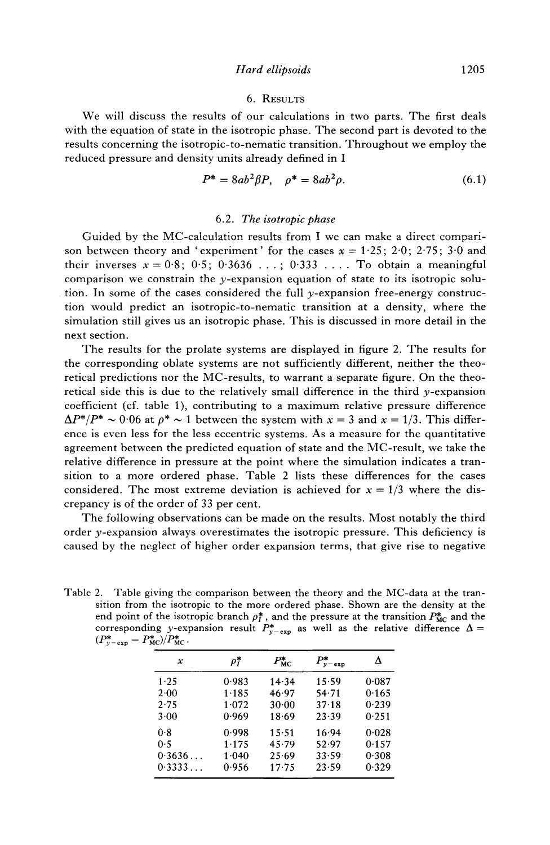#### 6. RESULTS

We will discuss the results of our calculations in two parts. The first deals with the equation of state in the isotropic phase. The second part is devoted to the results concerning the isotropic-to-nematic transition. Throughout we employ the reduced pressure and density units already defined in I

$$
P^* = 8ab^2\beta P, \quad \rho^* = 8ab^2\rho. \tag{6.1}
$$

#### 6.2. *The isotropic phase*

Guided by the MC-calculation results from I we can make a direct comparison between theory and 'experiment' for the cases  $x = 1.25$ ; 2.0; 2.75; 3.0 and their inverses  $x = 0.8$ ; 0.5; 0.3636 ...; 0.333 .... To obtain a meaningful comparison we constrain the y-expansion equation of state to its isotropic solution. In some of the cases considered the full y-expansion free-energy construction would predict an isotropic-to-nematic transition at a density, where the simulation still gives us an isotropic phase. This is discussed in more detail in the next section.

The results for the prolate systems are displayed in figure 2. The results for the corresponding oblate systems are not sufficiently different, neither the theoretical predictions nor the MC-results, to warrant a separate figure. On the theoretical side this is due to the relatively small difference in the third y-expansion coefficient (cf. table 1), contributing to a maximum relative pressure difference  $\Delta P^*/P^* \sim 0.06$  at  $\rho^* \sim 1$  between the system with  $x = 3$  and  $x = 1/3$ . This difference is even less for the less eccentric systems. As a measure for the quantitative agreement between the predicted equation of state and the MC-result, we take the relative difference in pressure at the point where the simulation indicates a transition to a more ordered phase. Table 2 lists these differences for the cases considered. The most extreme deviation is achieved for  $x = 1/3$  where the discrepancy is of the order of 33 per cent.

The following observations can be made on the results. Most notably the third order  $y$ -expansion always overestimates the isotropic pressure. This deficiency is caused by the neglect of higher order expansion terms, that give rise to negative

Table 2. Table giving the comparison between the theory and the MC-data at the transition from the isotropic to the more ordered phase. Shown are the density at the end point of the isotropic branch  $\rho_I^*$ , and the pressure at the transition  $P_{MC}^*$  and the corresponding y-expansion result  $P_{y-\exp}^*$  as well as the relative difference  $\Delta =$  $(P_{y-\exp}^* - P_{MC}^*)/P_{MC}^*$ .

| х      | $\rho_{I}^{\boldsymbol *}$ | $P_{\rm MC}^*$ | $P_{y-\exp}^*$ |       |
|--------|----------------------------|----------------|----------------|-------|
| 1.25   | 0.983                      | 14.34          | 15.59          | 0.087 |
| 2.00   | 1.185                      | 46.97          | 54.71          | 0.165 |
| 2.75   | 1.072                      | $30 - 00$      | $37 - 18$      | 0.239 |
| 3.00   | 0.969                      | 18.69          | 23.39          | 0.251 |
| 0.8    | 0.998                      | 15.51          | 16.94          | 0.028 |
| 0.5    | 1.175                      | 45.79          | 52.97          | 0.157 |
| 0.3636 | $1 - 040$                  | 25.69          | 33.59          | 0.308 |
| 0.3333 | 0.956                      | $17 - 75$      | 23.59          | 0.329 |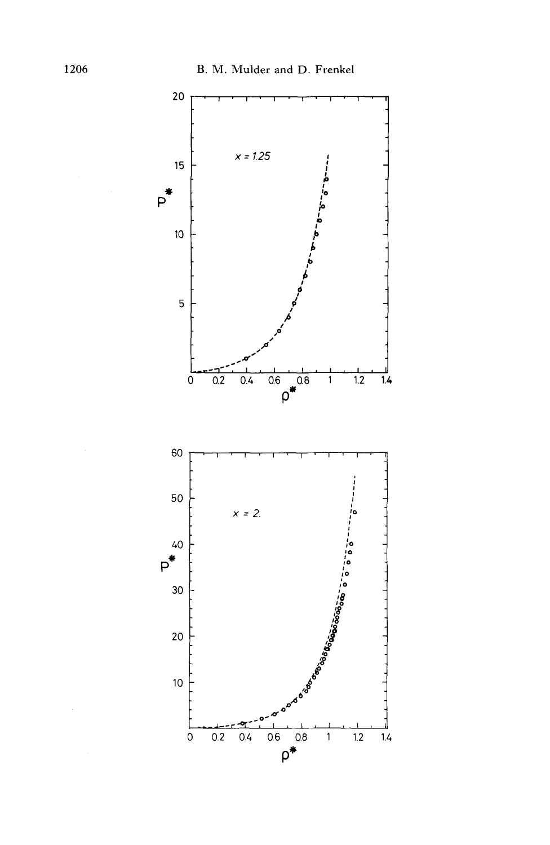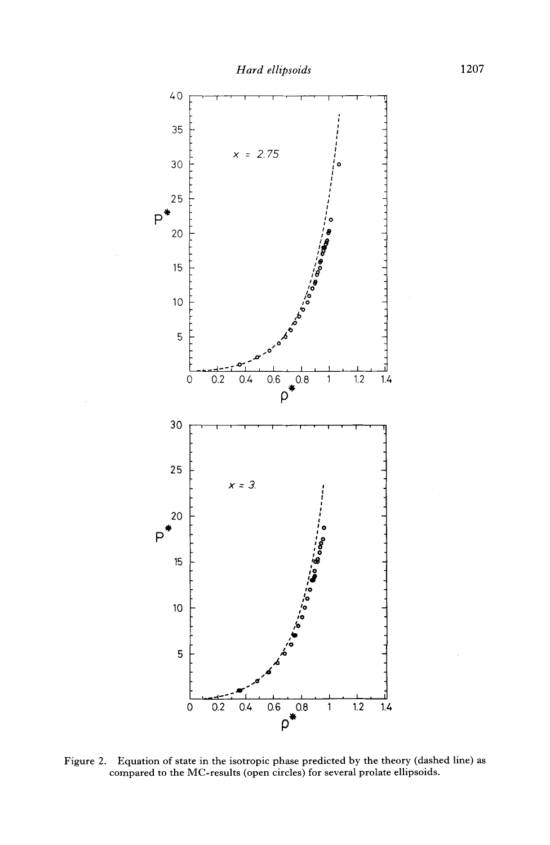

Figure 2. Equation of state in the isotropic phase predicted by the theory (dashed line) as compared to the MC-results (open circles) for several prolate ellipsoids.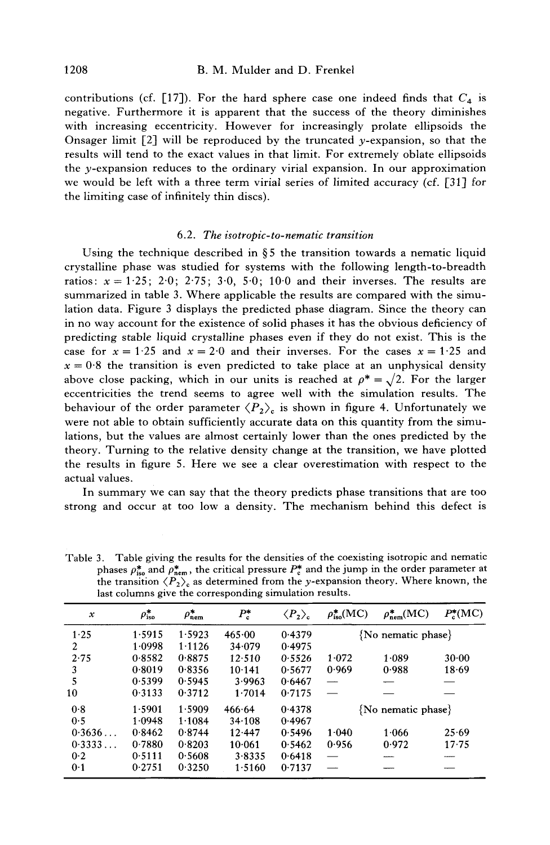contributions (cf. [17]). For the hard sphere case one indeed finds that  $C_4$  is negative. Furthermore it is apparent that the success of the theory diminishes with increasing eccentricity. However for increasingly prolate ellipsoids the Onsager limit  $[2]$  will be reproduced by the truncated y-expansion, so that the results will tend to the exact values in that limit. For extremely oblate ellipsoids the y-expansion reduces to the ordinary virial expansion. In our approximation we would be left with a three term virial series of limited accuracy (cf. [31] for the limiting case of infinitely thin discs).

#### 6.2. *The isotropic-to-nematic transition*

Using the technique described in  $\S 5$  the transition towards a nematic liquid crystalline phase was studied for systems with the following length-to-breadth ratios:  $x = 1.25$ ; 2.0; 2.75; 3.0, 5.0; 10.0 and their inverses. The results are summarized in table 3. Where applicable the results are compared with the simulation data. Figure 3 displays the predicted phase diagram. Since the theory can in no way account for the existence of solid phases it has the obvious deficiency of predicting stable liquid crystalline phases even if they do not exist. This is the case for  $x = 1.25$  and  $x = 2.0$  and their inverses. For the cases  $x = 1.25$  and  $x = 0.8$  the transition is even predicted to take place at an unphysical density above close packing, which in our units is reached at  $\rho^* = \sqrt{2}$ . For the larger eccentricities the trend seems to agree well with the simulation results. The behaviour of the order parameter  $\langle P_2 \rangle_c$  is shown in figure 4. Unfortunately we were not able to obtain sufficiently accurate data on this quantity from the simulations, but the values are almost certainly lower than the ones predicted by the theory. Turning to the relative density change at the transition, we have plotted the results in figure 5. Here we see a clear overestimation with respect to the actual values.

In summary we can say that the theory predicts phase transitions that are too strong and occur at too low a density. The mechanism behind this defect is

| $\boldsymbol{\mathcal{X}}$ | $\rho_{\rm iso}^{\boldsymbol *}$ | $\rho_{\text{nem}}^*$ | $P_{\rm c}^*$ | $\langle P_{2}\rangle_{\rm c}$ | $\rho_{\rm iso}^{*}{\rm (MC)}$ | $\rho_{\text{nem}}^{*}(\text{MC})$ | $P_c^*(MC)$ |
|----------------------------|----------------------------------|-----------------------|---------------|--------------------------------|--------------------------------|------------------------------------|-------------|
| 1.25                       | 1.5915                           | 1.5923                | 465.00        | 0.4379                         |                                | $\{No$ nematic phase $\}$          |             |
| 2                          | 1.0998                           | 1.1126                | 34.079        | 0.4975                         |                                |                                    |             |
| 2.75                       | 0.8582                           | 0.8875                | 12.510        | 0.5526                         | 1.072                          | 1.089                              | 30.00       |
| 3                          | 0.8019                           | 0.8356                | 10.141        | 0.5677                         | 0.969                          | 0.988                              | 18.69       |
| 5                          | 0.5399                           | 0.5945                | 3.9963        | 0.6467                         |                                |                                    |             |
| 10                         | 0.3133                           | 0.3712                | 1.7014        | 0.7175                         |                                |                                    |             |
| 0.8                        | 1.5901                           | 1.5909                | 466.64        | 0.4378                         | $\{No$ nematic phase $\}$      |                                    |             |
| 0.5                        | 1.0948                           | 1.1084                | 34.108        | 0.4967                         |                                |                                    |             |
| 0.3636                     | 0.8462                           | 0.8744                | 12.447        | 0.5496                         | 1.040                          | 1.066                              | 25.69       |
| 0.3333                     | 0.7880                           | 0.8203                | 10.061        | 0.5462                         | 0.956                          | 0.972                              | 17.75       |
| 0.2                        | 0.5111                           | 0.5608                | 3.8335        | 0.6418                         |                                |                                    |             |
| 0.1                        | 0.2751                           | 0.3250                | 1.5160        | 0.7137                         |                                |                                    |             |

Table 3. Table giving the results for the densities of the coexisting isotropic and nematic phases  $\rho_{iso}^*$  and  $\rho_{nem}^*$ , the critical pressure  $P_c^*$  and the jump in the order parameter at the transition  $\langle P_2 \rangle_c$  as determined from the y-expansion theory. Where known, the last columns give the corresponding simulation results.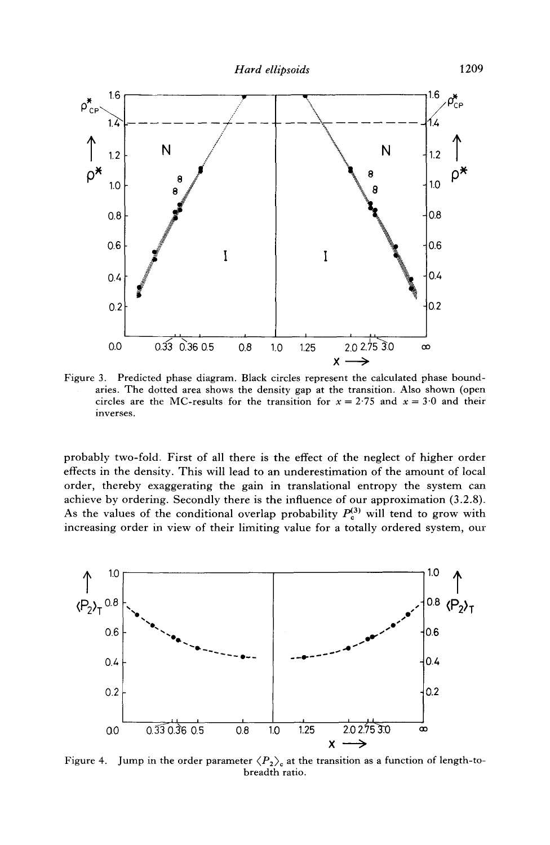

Figure 3. Predicted phase diagram. Black circles represent the calculated phase boundaries. The dotted area shows the density gap at the transition. Also shown (open circles are the MC-results for the transition for  $x = 2.75$  and  $x = 3.0$  and their inverses.

probably two-fold: First of all there is the effect of the neglect of higher order effects in the density. This will lead to an underestimation of the amount of local order, thereby exaggerating the gain in translational entropy the system can achieve by ordering. Secondly there is the influence of our approximation (3.2.8). As the values of the conditional overlap probability  $P_c^{(3)}$  will tend to grow with increasing order in view of their limiting value for a totally ordered system, our



Figure 4. Jump in the order parameter  $\langle P_2 \rangle_c$  at the transition as a function of length-tobreadth ratio.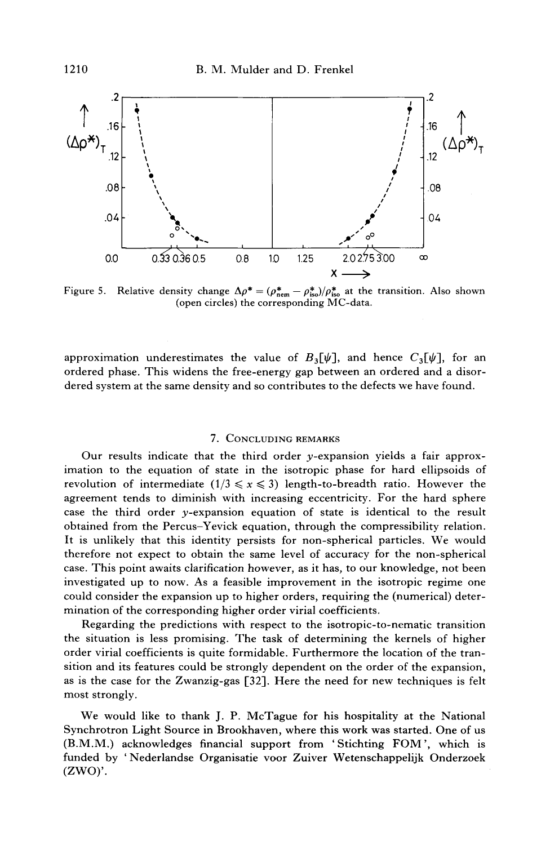

Figure 5. Relative density change  $\Delta \rho^* = (\rho_{\text{new}}^* - \rho_{\text{iso}}^*)/\rho_{\text{iso}}^*$  at the transition. Also shown (open circles) the corresponding MC-data.

approximation underestimates the value of  $B_3[\psi]$ , and hence  $C_3[\psi]$ , for an ordered phase. This widens the free-energy gap between an ordered and a disordered system at the same density and so contributes to the defects we have found.

# 7. CONCLUDING REMARKS

Our results indicate that the third order y-expansion yields a fair approximation to the equation of state in the isotropic phase for hard ellipsoids of revolution of intermediate  $(1/3 \le x \le 3)$  length-to-breadth ratio. However the agreement tends to diminish with increasing eccentricity. For the hard sphere case the third order y-expansion equation of state is identical to the result obtained from the Percus–Yevick equation, through the compressibility relation. It is unlikely that this identity persists for non-spherical particles. We would therefore not expect to obtain the same level of accuracy for the non-spherical case. This point awaits clarification however, as it has, to our knowledge, not been investigated up to now. As a feasible improvement in the isotropic regime one could consider the expansion up to higher orders, requiring the (numerical) determination of the corresponding higher order virial coefficients.

Regarding the predictions with respect to the isotropic-to-nematic transition the situation is less promising. The task of determining the kernels of higher order virial coefficients is quite formidable. Furthermore the location of the transition and its features could be strongly dependent on the order of the expansion, as is the case for the Zwanzig-gas [32]. Here the need for new techniques is felt most strongly.

We would like to thank J. P. McTague for his hospitality at the National Synchrotron Light Source in Brookhaven, where this work was started. One of us (B.M.M.) acknowledges financial support from 'Stichting FOM', which is funded by 'Nederlandse Organisatie voor Zuiver Wetenschappelijk Onderzoek  $(ZWO)$ .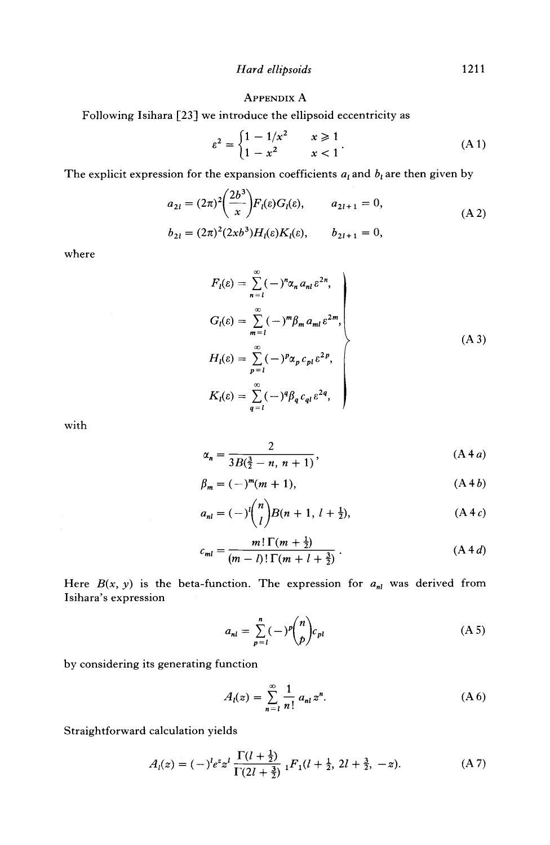## APPENDIX A

Following Isihara [23] we introduce the ellipsoid eccentricity as

$$
\varepsilon^{2} = \begin{cases} 1 - 1/x^{2} & x \geq 1 \\ 1 - x^{2} & x < 1 \end{cases}
$$
 (A1)

The explicit expression for the expansion coefficients  $a_i$  and  $b_i$  are then given by

$$
a_{2l} = (2\pi)^2 \left(\frac{2b^3}{x}\right) F_l(\varepsilon) G_l(\varepsilon), \qquad a_{2l+1} = 0,
$$
  
\n
$$
b_{2l} = (2\pi)^2 (2xb^3) H_l(\varepsilon) K_l(\varepsilon), \qquad b_{2l+1} = 0,
$$
  
\n(A 2)

where

$$
F_l(\varepsilon) = \sum_{n=1}^{\infty} (-)^n \alpha_n a_{nl} \varepsilon^{2n},
$$
  
\n
$$
G_l(\varepsilon) = \sum_{m=1}^{\infty} (-)^m \beta_m a_{ml} \varepsilon^{2m},
$$
  
\n
$$
H_l(\varepsilon) = \sum_{p=1}^{\infty} (-)^p \alpha_p c_{pl} \varepsilon^{2p},
$$
  
\n
$$
K_l(\varepsilon) = \sum_{q=1}^{\infty} (-)^q \beta_q c_{ql} \varepsilon^{2q},
$$
\n(A3)

with

$$
\alpha_n = \frac{2}{3B(\frac{3}{2} - n, n + 1)},\tag{A 4a}
$$

$$
\beta_m = (-)^m (m+1), \tag{A4b}
$$

$$
a_{nl} = (-)^{l} {n \choose l} B(n+1, l+\frac{1}{2}), \qquad (A 4 c)
$$

$$
c_{ml} = \frac{m! \Gamma(m + \frac{1}{2})}{(m - l)! \Gamma(m + l + \frac{3}{2})} \,. \tag{A 4 d}
$$

Here  $B(x, y)$  is the beta-function. The expression for  $a_{nl}$  was derived from Isihara's expression

$$
a_{nl} = \sum_{p=l}^{n} (-1)^{p} {n \choose p} c_{pl}
$$
 (A 5)

by considering its generating function

$$
A_{l}(z) = \sum_{n=1}^{\infty} \frac{1}{n!} a_{nl} z^{n}.
$$
 (A 6)

Straightforward calculation yields

$$
A_l(z) = (-)^l e^z z^l \frac{\Gamma(l + \frac{1}{2})}{\Gamma(2l + \frac{3}{2})} {}_1F_1(l + \frac{1}{2}, 2l + \frac{3}{2}, -z).
$$
 (A 7)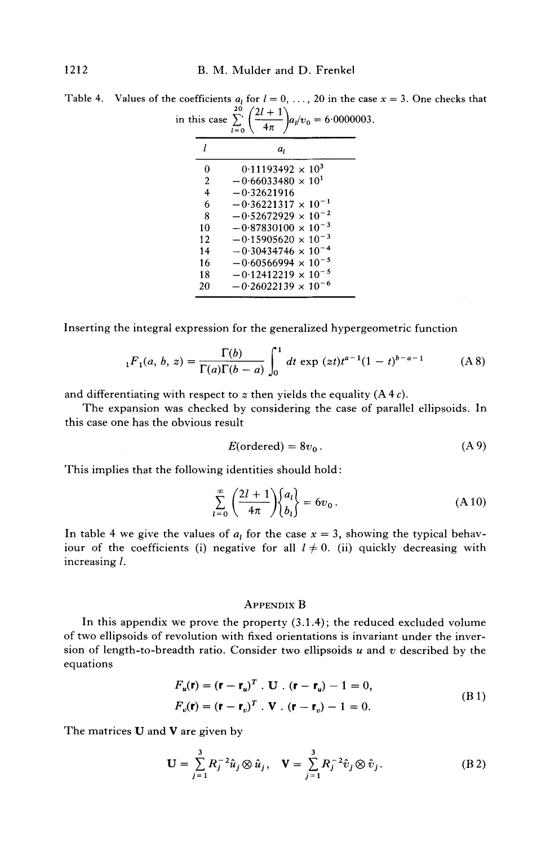| this case $\Sigma'$ | $2l + 1$<br>$a_l/v_0 = 6.0000$<br>$l=0$ |
|---------------------|-----------------------------------------|
| 1.                  | a,                                      |
| 0                   | $0.11193492 \times 10^3$                |
| $\overline{c}$      | $-0.66033480 \times 10^{1}$             |
| $\overline{4}$      | $-0.32621916$                           |
| 6                   | $-0.36221317 \times 10^{-1}$            |
| 8                   | $-0.52672929 \times 10^{-2}$            |
| 10                  | $-0.87830100 \times 10^{-3}$            |
| 12                  | $-0.15905620 \times 10^{-3}$            |
| 14                  | $-0.30434746 \times 10^{-4}$            |
| 16                  | $-0.60566994 \times 10^{-5}$            |
| 18                  | $-0.12412219 \times 10^{-5}$            |
| 20                  | $-0.26022139 \times 10^{-6}$            |
|                     |                                         |

Table 4. Values of the coefficients  $a_i$  for  $l = 0, ..., 20$  in the case  $x = 3$ . One checks that  $20 \t/21 + 1$ in this case  $\sum' \left( \frac{2i+1}{4} \right) a_i/v_0 = 6.0000003$ .

Inserting the integral expression for the generalized hypergeometric function

$$
{}_{1}F_{1}(a, b, z) = \frac{\Gamma(b)}{\Gamma(a)\Gamma(b-a)} \int_{0}^{1} dt \exp(zt)t^{a-1}(1-t)^{b-a-1}
$$
 (A 8)

and differentiating with respect to  $z$  then yields the equality  $(A 4 c)$ .

The expansion was checked by considering the case of parallel ellipsoids. In this case one has the obvious result

$$
E(ordered) = 8v_0.
$$
 (A 9)

This implies that the following identities should hold:

$$
\sum_{l=0}^{\infty} \left( \frac{2l+1}{4\pi} \right) \begin{Bmatrix} a_l \\ b_l \end{Bmatrix} = 6v_0.
$$
 (A 10)

In table 4 we give the values of  $a<sub>l</sub>$  for the case  $x = 3$ , showing the typical behaviour of the coefficients (i) negative for all  $l \neq 0$ . (ii) quickly decreasing with increasing I.

### APPENDIX B

In this appendix we prove the property (3.1.4); the reduced excluded volume of two ellipsoids of revolution with fixed orientations is invariant under the inversion of length-to-breadth ratio. Consider two ellipsoids  $u$  and  $v$  described by the equations

$$
F_u(\mathbf{r}) = (\mathbf{r} - \mathbf{r}_u)^T \cdot \mathbf{U} \cdot (\mathbf{r} - \mathbf{r}_u) - 1 = 0,
$$
  
\n
$$
F_v(\mathbf{r}) = (\mathbf{r} - \mathbf{r}_v)^T \cdot \mathbf{V} \cdot (\mathbf{r} - \mathbf{r}_v) - 1 = 0.
$$
 (B1)

The matrices  **and**  $**V**$  **are given by** 

$$
\mathbf{U} = \sum_{j=1}^{3} R_j^{-2} \hat{u}_j \otimes \hat{u}_j, \quad \mathbf{V} = \sum_{j=1}^{3} R_j^{-2} \hat{v}_j \otimes \hat{v}_j.
$$
 (B.2)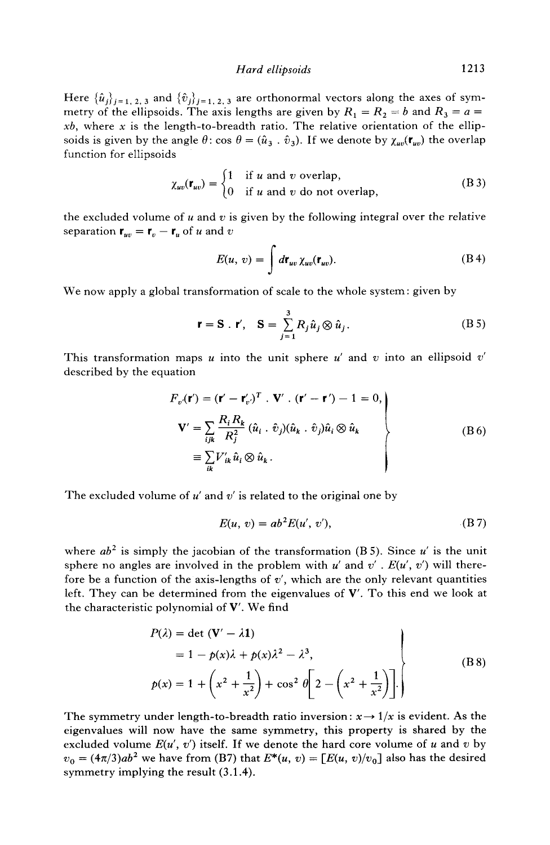*Hard ellipsoids* 1213

Here  $\{\hat{u}_j\}_{j=1, 2, 3}$  and  $\{\hat{v}_j\}_{j=1, 2, 3}$  are orthonormal vectors along the axes of symmetry of the ellipsoids. The axis lengths are given by  $R_1 = R_2 = b$  and  $R_3 = a =$ *xb,* where x is the length-to-breadth ratio. The relative orientation of the ellipsoids is given by the angle  $\theta$ : cos  $\theta = (\hat{u}_3 \cdot \hat{v}_3)$ . If we denote by  $\chi_{uv}(\mathbf{r}_{uv})$  the overlap function for ellipsoids

$$
\chi_{uv}(\mathbf{r}_{uv}) = \begin{cases} 1 & \text{if } u \text{ and } v \text{ overlap,} \\ 0 & \text{if } u \text{ and } v \text{ do not overlap,} \end{cases}
$$
 (B 3)

the excluded volume of u and v is given by the following integral over the relative separation  $\mathbf{r}_{uv} = \mathbf{r}_v - \mathbf{r}_u$  of u and v

$$
E(u, v) = \int d\mathbf{r}_{uv} \,\chi_{uv}(\mathbf{r}_{uv}).
$$
 (B 4)

We now apply a global transformation of scale to the whole system: given by

$$
\mathbf{r} = \mathbf{S} \cdot \mathbf{r}', \quad \mathbf{S} = \sum_{j=1}^{3} R_j \hat{u}_j \otimes \hat{u}_j.
$$
 (B 5)

This transformation maps  $u$  into the unit sphere  $u'$  and  $v$  into an ellipsoid  $v'$ described by the equation

$$
F_v(\mathbf{r}') = (\mathbf{r}' - \mathbf{r}'_{v})^T \cdot \mathbf{V}' \cdot (\mathbf{r}' - \mathbf{r}') - 1 = 0,
$$
  
\n
$$
\mathbf{V}' = \sum_{ijk} \frac{R_i R_k}{R_j^2} (\hat{u}_i \cdot \hat{v}_j)(\hat{u}_k \cdot \hat{v}_j)\hat{u}_i \otimes \hat{u}_k
$$
  
\n
$$
\equiv \sum_{ik} V'_{ik} \hat{u}_i \otimes \hat{u}_k.
$$
 (B6)

The excluded volume of  $u'$  and  $v'$  is related to the original one by

$$
E(u, v) = ab2E(u', v'), \qquad (B.7)
$$

where  $ab^2$  is simply the jacobian of the transformation (B 5). Since  $u'$  is the unit sphere no angles are involved in the problem with  $u'$  and  $v'$ .  $E(u', v')$  will therefore be a function of the axis-lengths of  $v'$ , which are the only relevant quantities left. They can be determined from the eigenvalues of  $V'$ . To this end we look at the characteristic polynomial of V'. We find

$$
P(\lambda) = \det (\mathbf{V}' - \lambda \mathbf{1})
$$
  
= 1 - p(x)\lambda + p(x)\lambda^2 - \lambda^3,  

$$
p(x) = 1 + \left(x^2 + \frac{1}{x^2}\right) + \cos^2 \theta \left[2 - \left(x^2 + \frac{1}{x^2}\right)\right].
$$
 (B 8)

The symmetry under length-to-breadth ratio inversion:  $x \rightarrow 1/x$  is evident. As the eigenvalues will now have the same symmetry, this property is shared by the excluded volume  $E(u', v')$  itself. If we denote the hard core volume of u and v by  $v_0 = (4\pi/3)ab^2$  we have from (B7) that  $E^*(u, v) = [E(u, v)/v_0]$  also has the desired symmetry implying the result (3.1.4).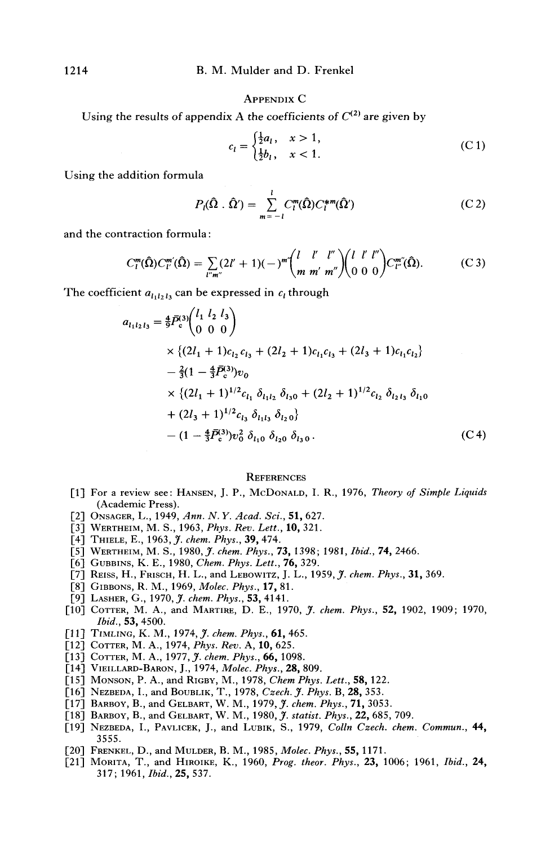#### APPENDIX C

Using the results of appendix A the coefficients of  $C^{(2)}$  are given by

$$
c_l = \begin{cases} \frac{1}{2}a_l, & x > 1, \\ \frac{1}{2}b_l, & x < 1. \end{cases}
$$
 (C1)

Using the addition formula

$$
P_l(\hat{\Omega} \cdot \hat{\Omega}') = \sum_{m=-l}^{l} C_l^m(\hat{\Omega}) C_l^{*m}(\hat{\Omega}')
$$
 (C 2)

and the contraction formula:

$$
C_l^m(\hat{\Omega})C_{l'}^{m'}(\hat{\Omega}) = \sum_{l''m''} (2l'+1)(-)^{m'} \binom{l}{m} \binom{l'l''}{m'''} \binom{l'l'l''}{0\ 0\ 0\ 0} C_{l''}^{m''}(\hat{\Omega}). \tag{C.3}
$$

The coefficient  $a_{l_1l_2l_3}$  can be expressed in  $c_l$  through

$$
a_{l_1l_2l_3} = \frac{4}{9}\bar{P}_c^{(3)} \begin{pmatrix} l_1 & l_2 & l_3 \\ 0 & 0 & 0 \end{pmatrix}
$$
  
\n
$$
\times \left\{ (2l_1 + 1)c_{l_2}c_{l_3} + (2l_2 + 1)c_{l_1}c_{l_3} + (2l_3 + 1)c_{l_1}c_{l_2} \right\}
$$
  
\n
$$
- \frac{2}{3}(1 - \frac{4}{3}\bar{P}_c^{(3)})v_0
$$
  
\n
$$
\times \left\{ (2l_1 + 1)^{1/2}c_{l_1} \delta_{l_1l_2} \delta_{l_30} + (2l_2 + 1)^{1/2}c_{l_2} \delta_{l_2l_3} \delta_{l_10} \right\}
$$
  
\n
$$
+ (2l_3 + 1)^{1/2}c_{l_3} \delta_{l_1l_3} \delta_{l_20} \right\}
$$
  
\n
$$
- (1 - \frac{4}{3}\bar{P}_c^{(3)})v_0^2 \delta_{l_10} \delta_{l_20} \delta_{l_30}.
$$
 (C4)

#### **REFERENCES**

- [1] For a review see: HANSEN, J. P., McDoNALD, I. R., 1976, *Theory of Simple Liquids*  (Academic Press).
- [2] ONSACER, L., 1949, *Ann. N. Y. Acad. Sci.,* 51,627.
- [3] WERTHEIM, M. S., 1963, *Phys. Rev. Lett.,* 10, 321.
- [4] THIELE, E., 1963, *37. chem. Phys.,* 39, 474.
- [5] WERTHEIM, M. S., 1980, *J. chem. Phys.*, **73,** 1398; 1981, *Ibid.*, **74,** 2466.
- [6] GUBBINS, K. E., 1980, *Chem. Phys. Lett.,* 76, 329.
- [7] REISS, H., FRISCH, H. L., and LEBOWITZ, J. L., 1959, *J. chem. Phys.*, **31,** 369.
- [8] GIBBONS, R. M., 1969, *Molec. Phys.,* 17, 81.
- [9] LASHER, G., 1970, *J. chem. Phys.,* 53, 4141.
- [10] COTTER, M. A., and MARTmE, D. E., 1970, *J. chem. Phys.,* 52, 1902, 1909; 1970, *Ibid.,* 53, 4500.
- [11] TtMLrNG, K. M., 1974, J. *chem. Phys.,* 61,465.
- [12] COTTER, M. A., 1974, *Phys. Rev.* A, 10, 625.
- [13] COTTER, M. A., 1977, *J. chem. Phys.*, **66,** 1098.
- [14] VIEILLARD-BARON, J., 1974, *Molec. Phys.,* 28, 809.
- [15] MONSON, P. A., and RIGBY, M., 1978, *ChemPhys. Lett.,* 58, 122.
- [16] NEZBEDA, I., and BOUBLIK, T., 1978, *Czech. J. Phys.* B, 28, 353.
- [17] BARBOY, B., and GELBART, W. M., 1979, *J. chem. Phys.*, **71,** 3053.
- [18] BARBOY, B., and GELBART, W. M., 1980, *J. statist. Phys.,* 22, 685,709.
- [19] NEZBEDA, I., PAVLICEK, J., and LUBIK, S., 1979, *Colln Czech. chem. Commun.*, 44, 3555.
- [2o] FRENXEL, D., and MULBER, B. M., 1985, *Molec. Phys.,* 55, 1171.
- [21] MOmTA, T., and HIROIKE, K., 1960, *Prog. theor. Phys.,* 23, 1006; 1961, *Ibid.,* 24, 317; 1961, *Ibid.,* 25, 537.